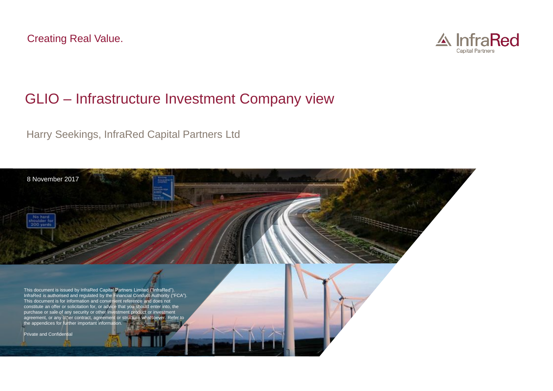



## GLIO – Infrastructure Investment Company view

Harry Seekings, InfraRed Capital Partners Ltd

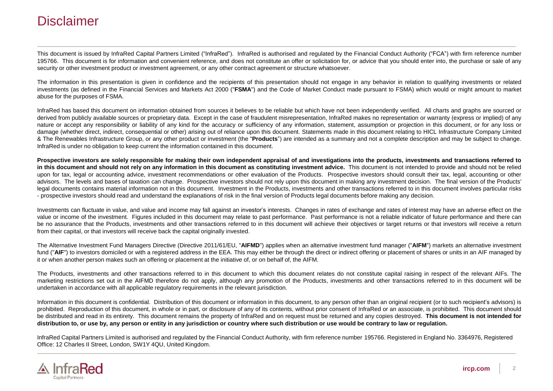#### Disclaimer

This document is issued by InfraRed Capital Partners Limited ("InfraRed"). InfraRed is authorised and regulated by the Financial Conduct Authority ("FCA") with firm reference number 195766. This document is for information and convenient reference, and does not constitute an offer or solicitation for, or advice that you should enter into, the purchase or sale of any security or other investment product or investment agreement, or any other contract agreement or structure whatsoever.

The information in this presentation is given in confidence and the recipients of this presentation should not engage in any behavior in relation to qualifying investments or related investments (as defined in the Financial Services and Markets Act 2000 ("**FSMA**") and the Code of Market Conduct made pursuant to FSMA) which would or might amount to market abuse for the purposes of FSMA.

InfraRed has based this document on information obtained from sources it believes to be reliable but which have not been independently verified. All charts and graphs are sourced or derived from publicly available sources or proprietary data. Except in the case of fraudulent misrepresentation, InfraRed makes no representation or warranty (express or implied) of any nature or accept any responsibility or liability of any kind for the accuracy or sufficiency of any information, statement, assumption or projection in this document, or for any loss or damage (whether direct, indirect, consequential or other) arising out of reliance upon this document. Statements made in this document relating to HICL Infrastructure Company Limited & The Renewables Infrastructure Group, or any other product or investment (the "**Products**") are intended as a summary and not a complete description and may be subject to change. InfraRed is under no obligation to keep current the information contained in this document.

Prospective investors are solely responsible for making their own independent appraisal of and investigations into the products, investments and transactions referred to in this document and should not rely on any information in this document as constituting investment advice. This document is not intended to provide and should not be relied upon for tax, legal or accounting advice, investment recommendations or other evaluation of the Products. Prospective investors should consult their tax, legal, accounting or other advisors. The levels and bases of taxation can change. Prospective investors should not rely upon this document in making any investment decision. The final version of the Products' legal documents contains material information not in this document. Investment in the Products, investments and other transactions referred to in this document involves particular risks - prospective investors should read and understand the explanations of risk in the final version of Products legal documents before making any decision.

Investments can fluctuate in value, and value and income may fall against an investor's interests. Changes in rates of exchange and rates of interest may have an adverse effect on the value or income of the investment. Figures included in this document may relate to past performance. Past performance is not a reliable indicator of future performance and there can be no assurance that the Products, investments and other transactions referred to in this document will achieve their objectives or target returns or that investors will receive a return from their capital, or that investors will receive back the capital originally invested.

The Alternative Investment Fund Managers Directive (Directive 2011/61/EU, "**AIFMD**") applies when an alternative investment fund manager ("**AIFM**") markets an alternative investment fund ("AIF") to investors domiciled or with a registered address in the EEA. This may either be through the direct or indirect offering or placement of shares or units in an AIF managed by it or when another person makes such an offering or placement at the initiative of, or on behalf of, the AIFM.

The Products, investments and other transactions referred to in this document to which this document relates do not constitute capital raising in respect of the relevant AIFs. The marketing restrictions set out in the AIFMD therefore do not apply, although any promotion of the Products, investments and other transactions referred to in this document will be undertaken in accordance with all applicable regulatory requirements in the relevant jurisdiction.

Information in this document is confidential. Distribution of this document or information in this document, to any person other than an original recipient (or to such recipient's advisors) is prohibited. Reproduction of this document, in whole or in part, or disclosure of any of its contents, without prior consent of InfraRed or an associate, is prohibited. This document should be distributed and read in its entirety. This document remains the property of InfraRed and on request must be returned and any copies destroyed. **This document is not intended for** distribution to, or use by, any person or entity in any jurisdiction or country where such distribution or use would be contrary to law or regulation,

InfraRed Capital Partners Limited is authorised and regulated by the Financial Conduct Authority, with firm reference number 195766. Registered in England No. 3364976, Registered Office: 12 Charles II Street, London, SW1Y 4QU, United Kingdom.

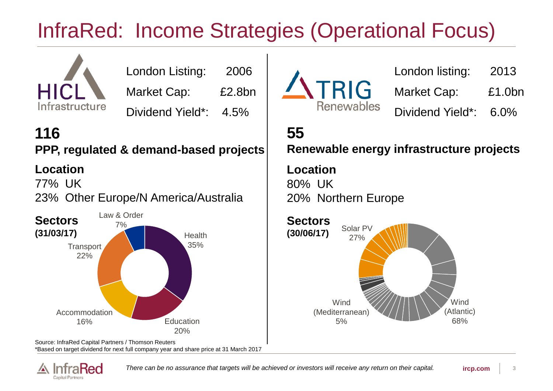# InfraRed: Income Strategies (Operational Focus)



London Listing: 2006 Market Cap: £2.8bn Dividend Yield\*: 4.5%

**116 PPP, regulated & demand-based projects** 

## **Location**

77% UK 23% Other Europe/N America/Australia



\*Based on target dividend for next full company year and share price at 31 March 2017





| London listing:  | 2013    |
|------------------|---------|
| Market Cap:      | £1.0bn  |
| Dividend Yield*: | $6.0\%$ |

# **55**

**Renewable energy infrastructure projects**

#### **Location**

80% UK 20% Northern Europe

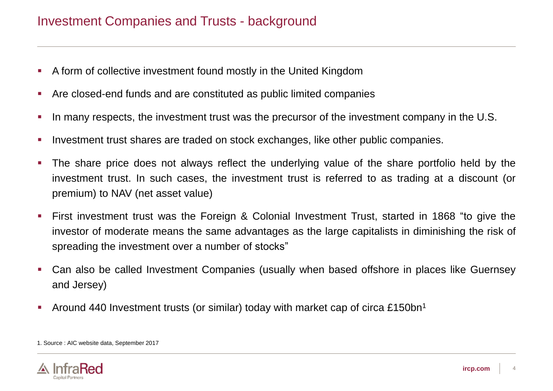- **A form of collective investment found mostly in the United Kingdom**
- Are closed-end funds and are constituted as public limited companies
- **•** In many respects, the investment trust was the precursor of the investment company in the U.S.
- **EXEDENT Investment trust shares are traded on stock exchanges, like other public companies.**
- **The share price does not always reflect the underlying value of the share portfolio held by the** investment trust. In such cases, the investment trust is referred to as trading at a discount (or premium) to NAV (net asset value)
- First investment trust was the Foreign & Colonial Investment Trust, started in 1868 "to give the investor of moderate means the same advantages as the large capitalists in diminishing the risk of spreading the investment over a number of stocks"
- Can also be called Investment Companies (usually when based offshore in places like Guernsey and Jersey)
- **E** Around 440 Investment trusts (or similar) today with market cap of circa £150bn<sup>1</sup>

<sup>1.</sup> Source : AIC website data, September 2017

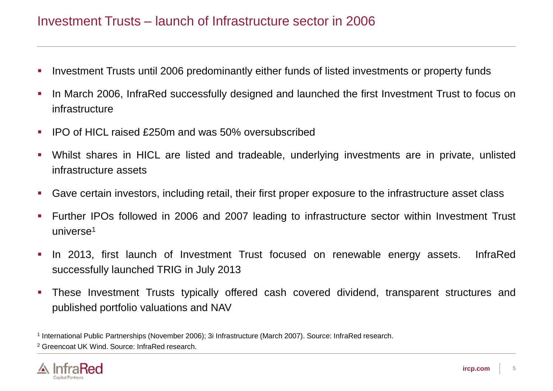#### Investment Trusts – launch of Infrastructure sector in 2006

- **Investment Trusts until 2006 predominantly either funds of listed investments or property funds**
- In March 2006, InfraRed successfully designed and launched the first Investment Trust to focus on infrastructure
- IPO of HICL raised £250m and was 50% oversubscribed
- **•** Whilst shares in HICL are listed and tradeable, underlying investments are in private, unlisted infrastructure assets
- Gave certain investors, including retail, their first proper exposure to the infrastructure asset class
- Further IPOs followed in 2006 and 2007 leading to infrastructure sector within Investment Trust universe<sup>1</sup>
- **·** In 2013, first launch of Investment Trust focused on renewable energy assets. InfraRed successfully launched TRIG in July 2013
- These Investment Trusts typically offered cash covered dividend, transparent structures and published portfolio valuations and NAV

<sup>2</sup> Greencoat UK Wind. Source: InfraRed research.



<sup>1</sup> International Public Partnerships (November 2006); 3i Infrastructure (March 2007). Source: InfraRed research.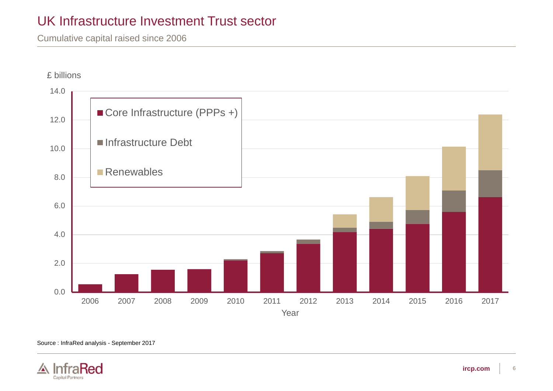#### UK Infrastructure Investment Trust sector

Cumulative capital raised since 2006



Source : InfraRed analysis - September 2017

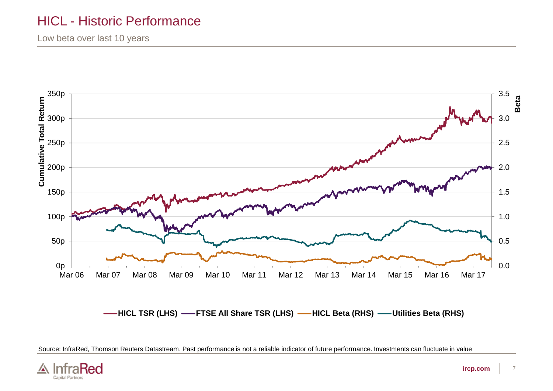#### HICL - Historic Performance

Low beta over last 10 years



Source: InfraRed, Thomson Reuters Datastream. Past performance is not a reliable indicator of future performance. Investments can fluctuate in value

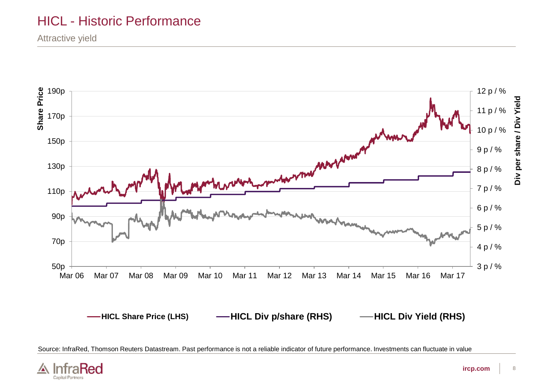#### HICL - Historic Performance

Attractive yield



Source: InfraRed, Thomson Reuters Datastream. Past performance is not a reliable indicator of future performance. Investments can fluctuate in value